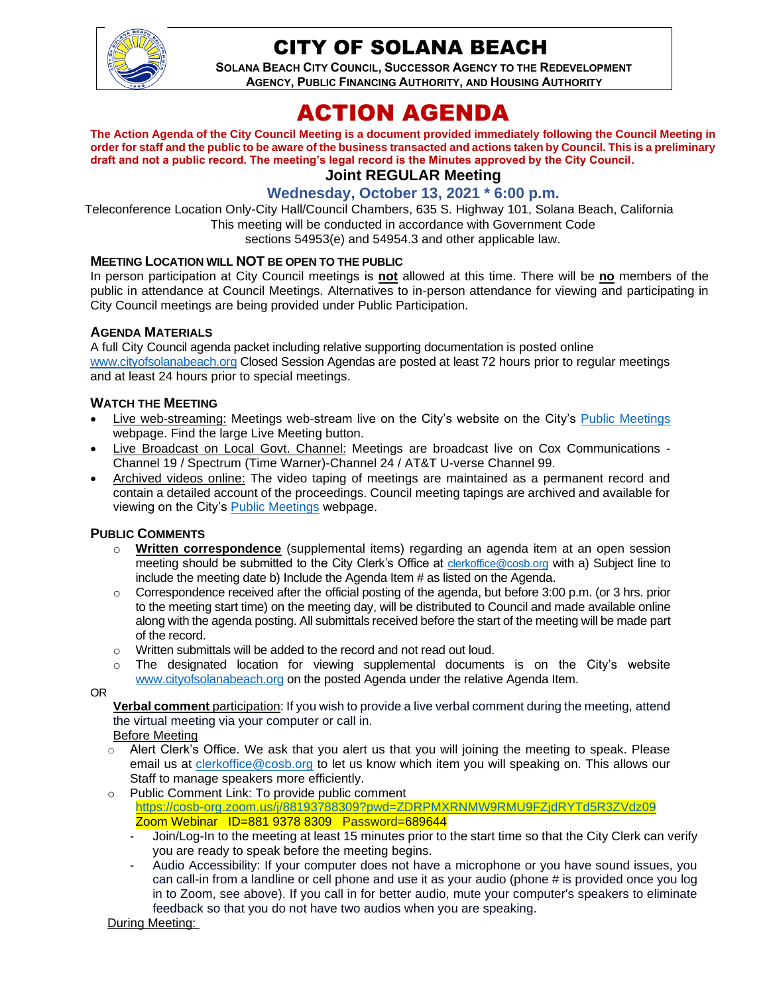

## CITY OF SOLANA BEACH

**SOLANA BEACH CITY COUNCIL, SUCCESSOR AGENCY TO THE REDEVELOPMENT AGENCY, PUBLIC FINANCING AUTHORITY, AND HOUSING AUTHORITY** 

# ACTION AGENDA

**The Action Agenda of the City Council Meeting is a document provided immediately following the Council Meeting in order for staff and the public to be aware of the business transacted and actions taken by Council. This is a preliminary draft and not a public record. The meeting's legal record is the Minutes approved by the City Council. Joint REGULAR Meeting**

## **Wednesday, October 13, 2021 \* 6:00 p.m.**

Teleconference Location Only-City Hall/Council Chambers, 635 S. Highway 101, Solana Beach, California This meeting will be conducted in accordance with Government Code sections 54953(e) and 54954.3 and other applicable law.

#### **MEETING LOCATION WILL NOT BE OPEN TO THE PUBLIC**

In person participation at City Council meetings is **not** allowed at this time. There will be **no** members of the public in attendance at Council Meetings. Alternatives to in-person attendance for viewing and participating in City Council meetings are being provided under Public Participation.

#### **AGENDA MATERIALS**

A full City Council agenda packet including relative supporting documentation is posted online [www.cityofsolanabeach.org](http://www.cityofsolanabeach.org/) Closed Session Agendas are posted at least 72 hours prior to regular meetings and at least 24 hours prior to special meetings.

#### **WATCH THE MEETING**

- Live web-streaming: Meetings web-stream live on the City's website on the City's [Public Meetings](https://urldefense.proofpoint.com/v2/url?u=https-3A__www.ci.solana-2Dbeach.ca.us_index.asp-3FSEC-3DF0F1200D-2D21C6-2D4A88-2D8AE1-2D0BC07C1A81A7-26Type-3DB-5FBASIC&d=DwMFAg&c=euGZstcaTDllvimEN8b7jXrwqOf-v5A_CdpgnVfiiMM&r=1XAsCUuqwK_tji2t0s1uIQ&m=wny2RVfZJ2tN24LkqZmkUWNpwL_peNtTZUBlTBZiMM4&s=WwpcEQpHHkFen6nS6q2waMuQ_VMZ-i1YZ60lD-dYRRE&e=) webpage. Find the large Live Meeting button.
- Live Broadcast on Local Govt. Channel: Meetings are broadcast live on Cox Communications Channel 19 / Spectrum (Time Warner)-Channel 24 / AT&T U-verse Channel 99.
- Archived videos online: The video taping of meetings are maintained as a permanent record and contain a detailed account of the proceedings. Council meeting tapings are archived and available for viewing on the City's [Public Meetings](https://urldefense.proofpoint.com/v2/url?u=https-3A__www.ci.solana-2Dbeach.ca.us_index.asp-3FSEC-3DF0F1200D-2D21C6-2D4A88-2D8AE1-2D0BC07C1A81A7-26Type-3DB-5FBASIC&d=DwMFAg&c=euGZstcaTDllvimEN8b7jXrwqOf-v5A_CdpgnVfiiMM&r=1XAsCUuqwK_tji2t0s1uIQ&m=wny2RVfZJ2tN24LkqZmkUWNpwL_peNtTZUBlTBZiMM4&s=WwpcEQpHHkFen6nS6q2waMuQ_VMZ-i1YZ60lD-dYRRE&e=) webpage.

#### **PUBLIC COMMENTS**

- o **Written correspondence** (supplemental items) regarding an agenda item at an open session meeting should be submitted to the City Clerk's Office at [clerkoffice@cosb.org](mailto:clerkoffice@cosb.org) with a) Subject line to include the meeting date b) Include the Agenda Item # as listed on the Agenda.
- $\circ$  Correspondence received after the official posting of the agenda, but before 3:00 p.m. (or 3 hrs. prior to the meeting start time) on the meeting day, will be distributed to Council and made available online along with the agenda posting. All submittals received before the start of the meeting will be made part of the record.
- o Written submittals will be added to the record and not read out loud.
- $\circ$  The designated location for viewing supplemental documents is on the City's website [www.cityofsolanabeach.org](http://www.cityofsolanabeach.org/) on the posted Agenda under the relative Agenda Item.

OR

**Verbal comment** participation: If you wish to provide a live verbal comment during the meeting, attend the virtual meeting via your computer or call in.

Before Meeting

- $\circ$  Alert Clerk's Office. We ask that you alert us that you will joining the meeting to speak. Please email us at [clerkoffice@cosb.org](mailto:clerkoffice@cosb.org) to let us know which item you will speaking on. This allows our Staff to manage speakers more efficiently.
- o Public Comment Link: To provide public comment <https://cosb-org.zoom.us/j/88193788309?pwd=ZDRPMXRNMW9RMU9FZjdRYTd5R3ZVdz09> Zoom Webinar ID=881 9378 8309 Password=689644
	- Join/Log-In to the meeting at least 15 minutes prior to the start time so that the City Clerk can verify you are ready to speak before the meeting begins.
	- Audio Accessibility: If your computer does not have a microphone or you have sound issues, you can call-in from a landline or cell phone and use it as your audio (phone # is provided once you log in to Zoom, see above). If you call in for better audio, mute your computer's speakers to eliminate feedback so that you do not have two audios when you are speaking.

During Meeting: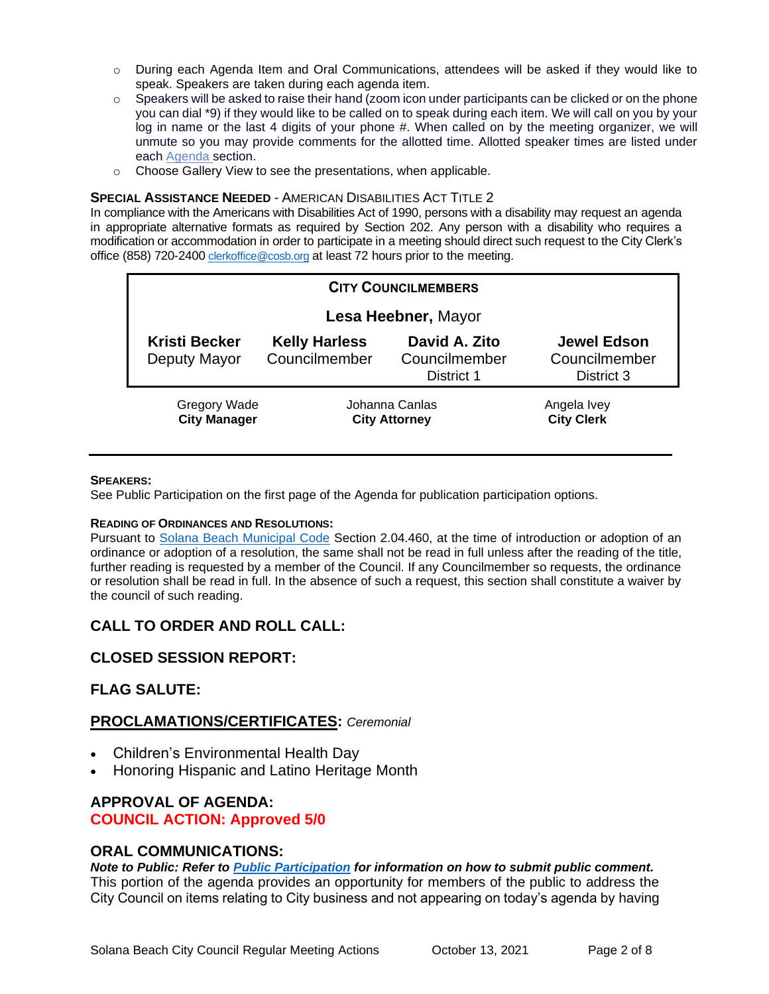- o During each Agenda Item and Oral Communications, attendees will be asked if they would like to speak. Speakers are taken during each agenda item.
- $\circ$  Speakers will be asked to raise their hand (zoom icon under participants can be clicked or on the phone you can dial \*9) if they would like to be called on to speak during each item. We will call on you by your log in name or the last 4 digits of your phone #. When called on by the meeting organizer, we will unmute so you may provide comments for the allotted time. Allotted speaker times are listed under each [Agenda s](https://urldefense.proofpoint.com/v2/url?u=https-3A__www.ci.solana-2Dbeach.ca.us_index.asp-3FSEC-3DF0F1200D-2D21C6-2D4A88-2D8AE1-2D0BC07C1A81A7-26Type-3DB-5FBASIC&d=DwMFaQ&c=euGZstcaTDllvimEN8b7jXrwqOf-v5A_CdpgnVfiiMM&r=1XAsCUuqwK_tji2t0s1uIQ&m=C7WzXfOw2_nkEFMJClT55zZsF4tmIf_7KTn0o1WpYqI&s=3DcsWExM2_nx_xpvFtXslUjphiXd0MDCCF18y_Qy5yU&e=)ection.
- o Choose Gallery View to see the presentations, when applicable.

#### **SPECIAL ASSISTANCE NEEDED** - AMERICAN DISABILITIES ACT TITLE 2

In compliance with the Americans with Disabilities Act of 1990, persons with a disability may request an agenda in appropriate alternative formats as required by Section 202. Any person with a disability who requires a modification or accommodation in order to participate in a meeting should direct such request to the City Clerk's office (858) 720-2400 [clerkoffice@cosb.org](mailto:EMAILGRP-CityClerksOfc@cosb.org) at least 72 hours prior to the meeting.

| <b>CITY COUNCILMEMBERS</b>           |                                        |                                              |                                                   |  |
|--------------------------------------|----------------------------------------|----------------------------------------------|---------------------------------------------------|--|
|                                      | Lesa Heebner, Mayor                    |                                              |                                                   |  |
| <b>Kristi Becker</b><br>Deputy Mayor | <b>Kelly Harless</b><br>Councilmember  | David A. Zito<br>Councilmember<br>District 1 | <b>Jewel Edson</b><br>Councilmember<br>District 3 |  |
| Gregory Wade<br><b>City Manager</b>  | Johanna Canlas<br><b>City Attorney</b> |                                              | Angela Ivey<br><b>City Clerk</b>                  |  |

#### **SPEAKERS:**

See Public Participation on the first page of the Agenda for publication participation options.

#### **READING OF ORDINANCES AND RESOLUTIONS:**

Pursuant to [Solana Beach Municipal Code](https://www.codepublishing.com/CA/SolanaBeach/) Section 2.04.460, at the time of introduction or adoption of an ordinance or adoption of a resolution, the same shall not be read in full unless after the reading of the title, further reading is requested by a member of the Council. If any Councilmember so requests, the ordinance or resolution shall be read in full. In the absence of such a request, this section shall constitute a waiver by the council of such reading.

## **CALL TO ORDER AND ROLL CALL:**

## **CLOSED SESSION REPORT:**

## **FLAG SALUTE:**

#### **PROCLAMATIONS/CERTIFICATES:** *Ceremonial*

- Children's Environmental Health Day
- Honoring Hispanic and Latino Heritage Month

## **APPROVAL OF AGENDA:**

## **COUNCIL ACTION: Approved 5/0**

#### **ORAL COMMUNICATIONS:**

*Note to Public: Refer to Public Participation for information on how to submit public comment.*  This portion of the agenda provides an opportunity for members of the public to address the City Council on items relating to City business and not appearing on today's agenda by having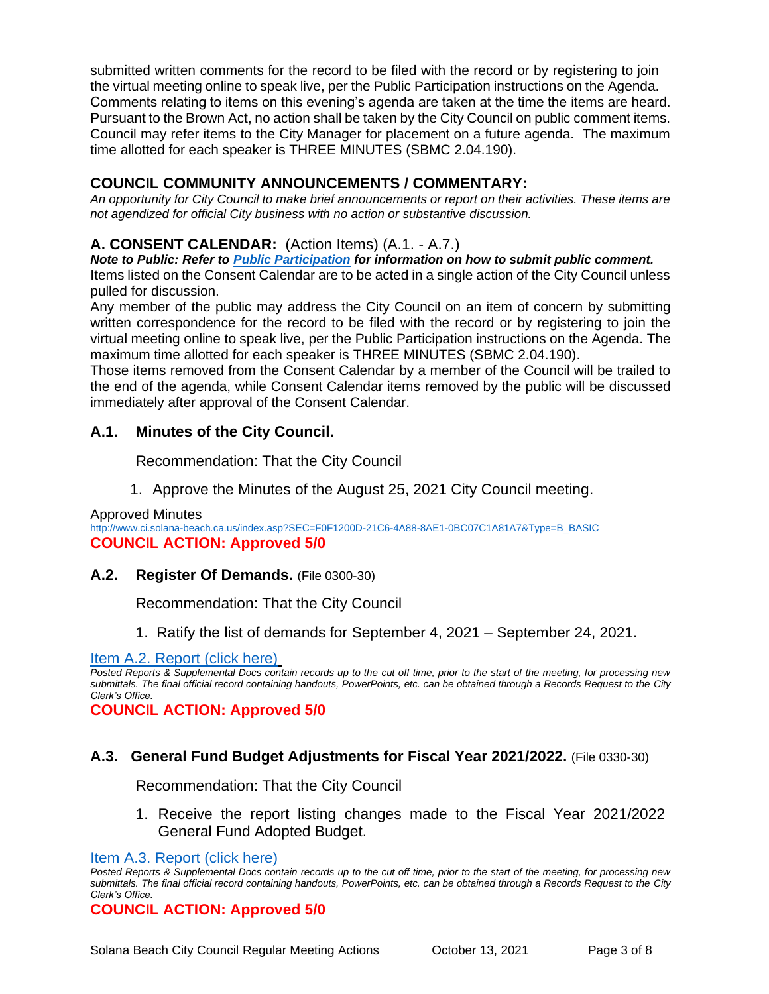submitted written comments for the record to be filed with the record or by registering to join the virtual meeting online to speak live, per the Public Participation instructions on the Agenda. Comments relating to items on this evening's agenda are taken at the time the items are heard. Pursuant to the Brown Act, no action shall be taken by the City Council on public comment items. Council may refer items to the City Manager for placement on a future agenda. The maximum time allotted for each speaker is THREE MINUTES (SBMC 2.04.190).

## **COUNCIL COMMUNITY ANNOUNCEMENTS / COMMENTARY:**

*An opportunity for City Council to make brief announcements or report on their activities. These items are not agendized for official City business with no action or substantive discussion.* 

## **A. CONSENT CALENDAR:** (Action Items) (A.1. - A.7.)

*Note to Public: Refer to Public Participation for information on how to submit public comment.*  Items listed on the Consent Calendar are to be acted in a single action of the City Council unless pulled for discussion.

Any member of the public may address the City Council on an item of concern by submitting written correspondence for the record to be filed with the record or by registering to join the virtual meeting online to speak live, per the Public Participation instructions on the Agenda. The maximum time allotted for each speaker is THREE MINUTES (SBMC 2.04.190).

Those items removed from the Consent Calendar by a member of the Council will be trailed to the end of the agenda, while Consent Calendar items removed by the public will be discussed immediately after approval of the Consent Calendar.

## **A.1. Minutes of the City Council.**

Recommendation: That the City Council

1. Approve the Minutes of the August 25, 2021 City Council meeting.

Approved Minutes

[http://www.ci.solana-beach.ca.us/index.asp?SEC=F0F1200D-21C6-4A88-8AE1-0BC07C1A81A7&Type=B\\_BASIC](http://www.ci.solana-beach.ca.us/index.asp?SEC=F0F1200D-21C6-4A88-8AE1-0BC07C1A81A7&Type=B_BASIC) **COUNCIL ACTION: Approved 5/0**

**A.2. Register Of Demands.** (File 0300-30)

Recommendation: That the City Council

1. Ratify the list of demands for September 4, 2021 – September 24, 2021.

#### [Item A.2. Report \(click here\)](https://solanabeach.govoffice3.com/vertical/Sites/%7B840804C2-F869-4904-9AE3-720581350CE7%7D/uploads/Item_A.2._Report_(click_here)_-_10-13-21_O.pdf)

*Posted Reports & Supplemental Docs contain records up to the cut off time, prior to the start of the meeting, for processing new submittals. The final official record containing handouts, PowerPoints, etc. can be obtained through a Records Request to the City Clerk's Office.*

**COUNCIL ACTION: Approved 5/0**

#### **A.3. General Fund Budget Adjustments for Fiscal Year 2021/2022.** (File 0330-30)

Recommendation: That the City Council

1. Receive the report listing changes made to the Fiscal Year 2021/2022 [General Fund Adopted Budget.](https://solanabeach.govoffice3.com/vertical/Sites/%7B840804C2-F869-4904-9AE3-720581350CE7%7D/uploads/Item_A.3._Report_(click_here)_-_10-13-21_O.pdf)

```
COUNCIL ACTION: Approved 5/0
```
[Item A.3. Report \(click here\)](https://solanabeach.govoffice3.com/vertical/Sites/%7B840804C2-F869-4904-9AE3-720581350CE7%7D/uploads/Item_A.3._Report_(click_here)_-_10-13-21_O.pdf)

*Posted Reports & Supplemental Docs contain records up to the cut off time, prior to the start of the meeting, for processing new submittals. The final official record containing handouts, PowerPoints, etc. can be obtained through a Records Request to the City Clerk's Office.*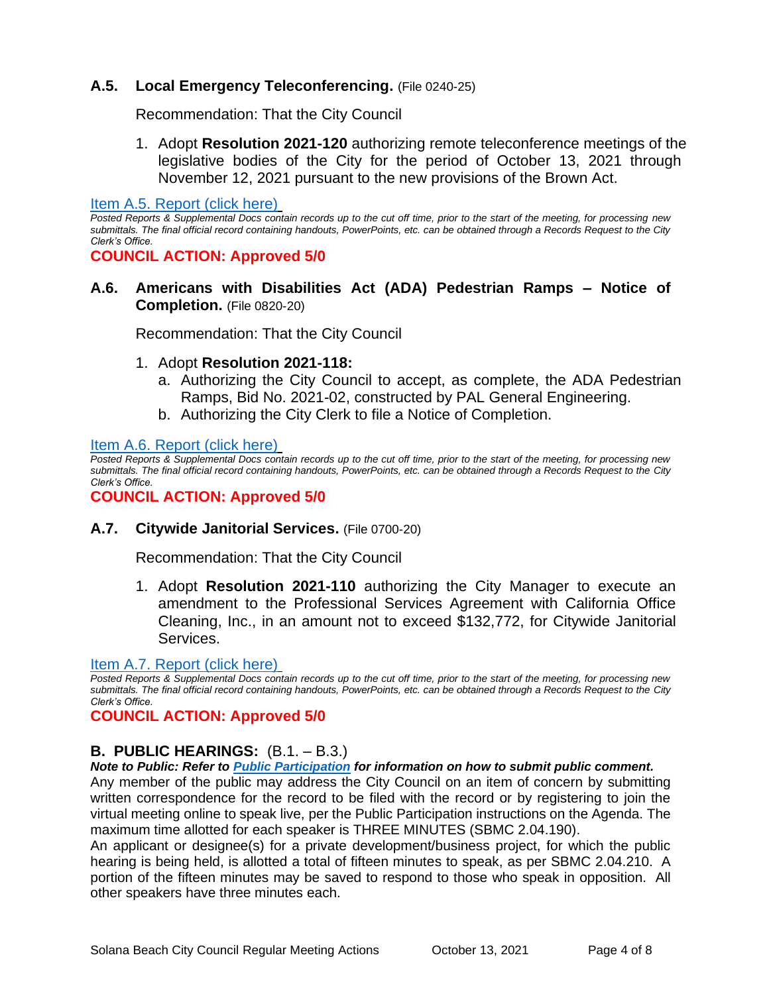## **A.5. Local Emergency Teleconferencing.** (File 0240-25)

Recommendation: That the City Council

1. Adopt **Resolution 2021-120** authorizing remote teleconference meetings of the legislative bodies of the City for the period of October 13, 2021 through November 12, 2021 pursuant to the new provisions of the Brown Act.

[Item A.5. Report \(click here\)](https://solanabeach.govoffice3.com/vertical/Sites/%7B840804C2-F869-4904-9AE3-720581350CE7%7D/uploads/Item_A.5._Report_(click_here)_-_10-13-21_O.pdf)

*Posted Reports & Supplemental Docs contain records up to the cut off time, prior to the start of the meeting, for processing new submittals. The final official record containing handouts, PowerPoints, etc. can be obtained through a Records Request to the City Clerk's Office.*

**COUNCIL ACTION: Approved 5/0**

**A.6. Americans with Disabilities Act (ADA) Pedestrian Ramps – Notice of Completion.** (File 0820-20)

Recommendation: That the City Council

- 1. Adopt **Resolution 2021-118:**
	- a. Authorizing the City Council to accept, as complete, the ADA Pedestrian Ramps, Bid No. 2021-02, constructed by PAL General Engineering.
	- b. Authorizing the City Clerk to file a Notice of Completion.

[Item A.6. Report \(click here\)](https://solanabeach.govoffice3.com/vertical/Sites/%7B840804C2-F869-4904-9AE3-720581350CE7%7D/uploads/Item_A.6._Report_(click_here)_-_10-13-21_O.pdf)

*Posted Reports & Supplemental Docs contain records up to the cut off time, prior to the start of the meeting, for processing new submittals. The final official record containing handouts, PowerPoints, etc. can be obtained through a Records Request to the City Clerk's Office.*

**COUNCIL ACTION: Approved 5/0**

**A.7. Citywide Janitorial Services.** (File 0700-20)

Recommendation: That the City Council

1. Adopt **Resolution 2021-110** authorizing the City Manager to execute an amendment to the Professional Services Agreement with California Office Cleaning, Inc., in an amount not to exceed \$132,772, for Citywide Janitorial Services.

#### [Item A.7. Report \(click here\)](https://solanabeach.govoffice3.com/vertical/Sites/%7B840804C2-F869-4904-9AE3-720581350CE7%7D/uploads/Item_A.7._Report_(click_here)_-_10-13-21_O.pdf)

*Posted Reports & Supplemental Docs contain records up to the cut off time, prior to the start of the meeting, for processing new submittals. The final official record containing handouts, PowerPoints, etc. can be obtained through a Records Request to the City Clerk's Office.*

#### **COUNCIL ACTION: Approved 5/0**

## **B. PUBLIC HEARINGS:** (B.1. – B.3.)

*Note to Public: Refer to Public Participation for information on how to submit public comment.* 

Any member of the public may address the City Council on an item of concern by submitting written correspondence for the record to be filed with the record or by registering to join the virtual meeting online to speak live, per the Public Participation instructions on the Agenda. The maximum time allotted for each speaker is THREE MINUTES (SBMC 2.04.190).

An applicant or designee(s) for a private development/business project, for which the public hearing is being held, is allotted a total of fifteen minutes to speak, as per SBMC 2.04.210. A portion of the fifteen minutes may be saved to respond to those who speak in opposition. All other speakers have three minutes each.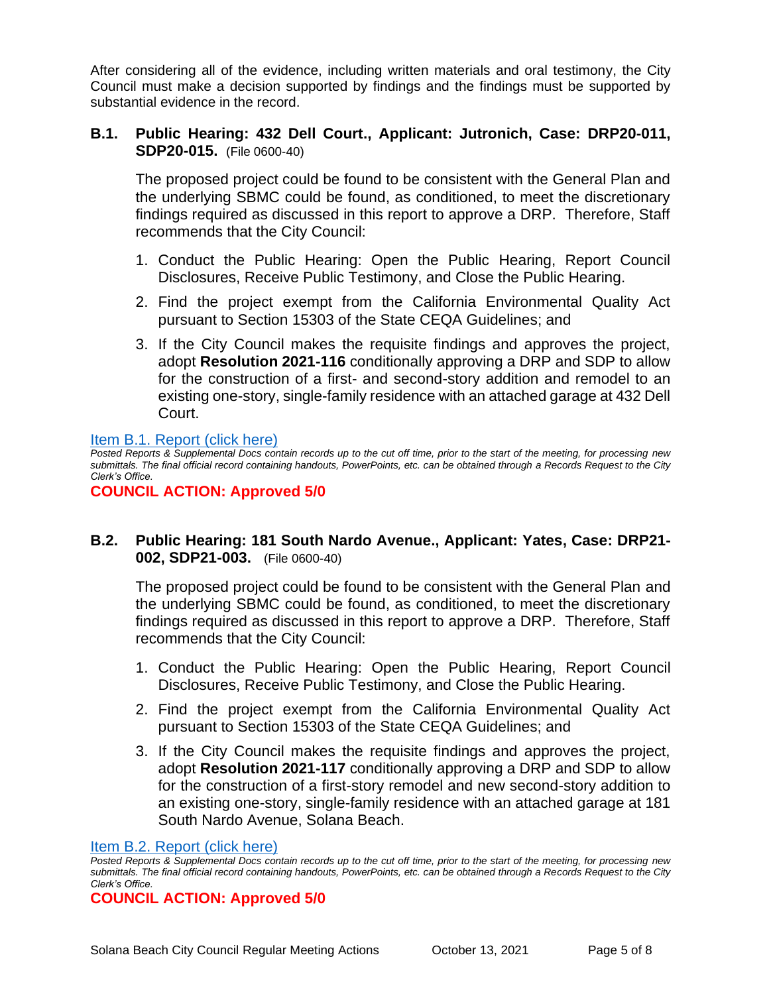After considering all of the evidence, including written materials and oral testimony, the City Council must make a decision supported by findings and the findings must be supported by substantial evidence in the record.

## **B.1. Public Hearing: 432 Dell Court., Applicant: Jutronich, Case: DRP20-011, SDP20-015.** (File 0600-40)

The proposed project could be found to be consistent with the General Plan and the underlying SBMC could be found, as conditioned, to meet the discretionary findings required as discussed in this report to approve a DRP. Therefore, Staff recommends that the City Council:

- 1. Conduct the Public Hearing: Open the Public Hearing, Report Council Disclosures, Receive Public Testimony, and Close the Public Hearing.
- 2. Find the project exempt from the California Environmental Quality Act pursuant to Section 15303 of the State CEQA Guidelines; and
- 3. If the City Council makes the requisite findings and approves the project, adopt **Resolution 2021-116** conditionally approving a DRP and SDP to allow for the construction of a first- and second-story addition and remodel to an existing one-story, single-family residence with an attached garage at 432 Dell Court.

#### [Item B.1. Report \(click here\)](https://solanabeach.govoffice3.com/vertical/Sites/%7B840804C2-F869-4904-9AE3-720581350CE7%7D/uploads/Item_B.1._Report_(click_here)_-_10-13-21_O.pdf)

*Posted Reports & Supplemental Docs contain records up to the cut off time, prior to the start of the meeting, for processing new submittals. The final official record containing handouts, PowerPoints, etc. can be obtained through a Records Request to the City Clerk's Office.*

#### **COUNCIL ACTION: Approved 5/0**

## **B.2. Public Hearing: 181 South Nardo Avenue., Applicant: Yates, Case: DRP21- 002, SDP21-003.** (File 0600-40)

The proposed project could be found to be consistent with the General Plan and the underlying SBMC could be found, as conditioned, to meet the discretionary findings required as discussed in this report to approve a DRP. Therefore, Staff recommends that the City Council:

- 1. Conduct the Public Hearing: Open the Public Hearing, Report Council Disclosures, Receive Public Testimony, and Close the Public Hearing.
- 2. Find the project exempt from the California Environmental Quality Act pursuant to Section 15303 of the State CEQA Guidelines; and
- 3. If the City Council makes the requisite findings and approves the project, adopt **Resolution 2021-117** conditionally approving a DRP and SDP to allow for the construction of a first-story remodel and new second-story addition to an existing one-story, single-family residence with an attached garage at 181 South Nardo Avenue, Solana Beach.

#### [Item B.2. Report \(click here\)](https://solanabeach.govoffice3.com/vertical/Sites/%7B840804C2-F869-4904-9AE3-720581350CE7%7D/uploads/Item_B.2._Report_(click_here)_-_10-13-21_O.pdf)

*Posted Reports & Supplemental Docs contain records up to the cut off time, prior to the start of the meeting, for processing new submittals. The final official record containing handouts, PowerPoints, etc. can be obtained through a Records Request to the City Clerk's Office.*

**COUNCIL ACTION: Approved 5/0**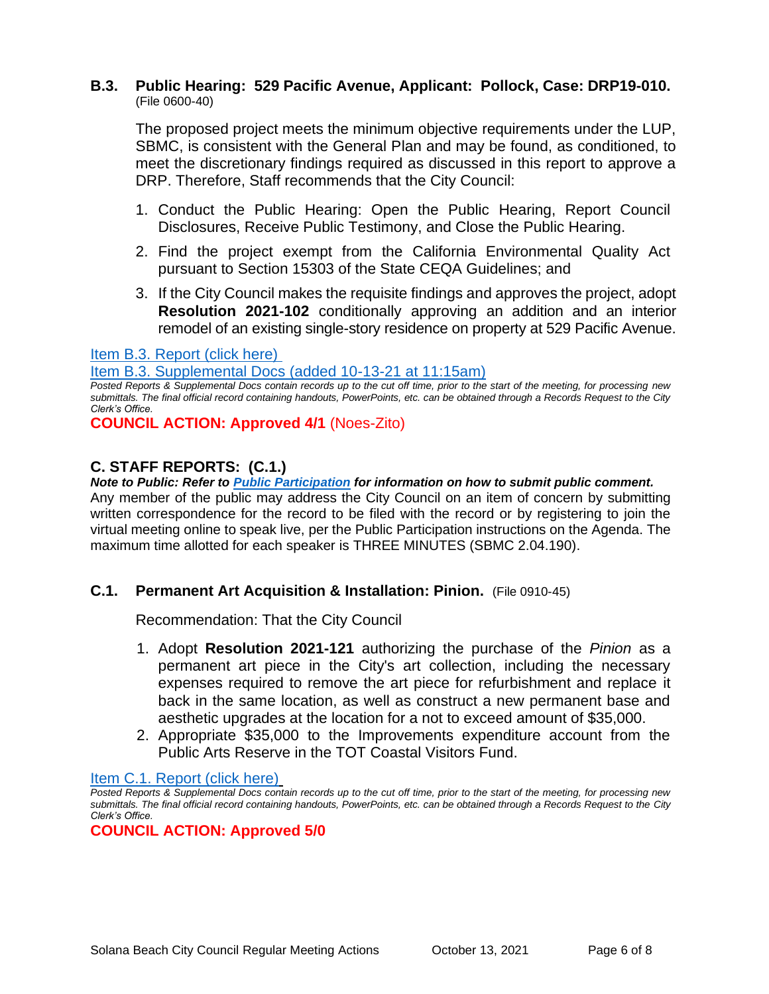## **B.3. Public Hearing: 529 Pacific Avenue, Applicant: Pollock, Case: DRP19-010.**  (File 0600-40)

The proposed project meets the minimum objective requirements under the LUP, SBMC, is consistent with the General Plan and may be found, as conditioned, to meet the discretionary findings required as discussed in this report to approve a DRP. Therefore, Staff recommends that the City Council:

- 1. Conduct the Public Hearing: Open the Public Hearing, Report Council Disclosures, Receive Public Testimony, and Close the Public Hearing.
- 2. Find the project exempt from the California Environmental Quality Act pursuant to Section 15303 of the State CEQA Guidelines; and
- 3. If the City Council makes the requisite findings and approves the project, adopt **Resolution 2021-102** conditionally approving an addition and an interior remodel of an existing single-story residence on property at 529 Pacific Avenue.

#### [Item B.3. Report \(click here\)](https://solanabeach.govoffice3.com/vertical/Sites/%7B840804C2-F869-4904-9AE3-720581350CE7%7D/uploads/Item_B.3._Report_(click_here)_-_10-13-21_O.pdf)

[Item B.3. Supplemental Docs \(added 10-13-21 at 11:15am\)](https://solanabeach.govoffice3.com/vertical/Sites/%7B840804C2-F869-4904-9AE3-720581350CE7%7D/uploads/Item_B.3._Supplemental_Docs_(10-13_at_11am)_-_O.pdf)

*Posted Reports & Supplemental Docs contain records up to the cut off time, prior to the start of the meeting, for processing new submittals. The final official record containing handouts, PowerPoints, etc. can be obtained through a Records Request to the City Clerk's Office.*

**COUNCIL ACTION: Approved 4/1** (Noes-Zito)

## **C. STAFF REPORTS: (C.1.)**

*Note to Public: Refer to Public Participation for information on how to submit public comment.*  Any member of the public may address the City Council on an item of concern by submitting written correspondence for the record to be filed with the record or by registering to join the virtual meeting online to speak live, per the Public Participation instructions on the Agenda. The maximum time allotted for each speaker is THREE MINUTES (SBMC 2.04.190).

#### **C.1. Permanent Art Acquisition & Installation: Pinion.** (File 0910-45)

Recommendation: That the City Council

- 1. Adopt **Resolution 2021-121** authorizing the purchase of the *Pinion* as a permanent art piece in the City's art collection, including the necessary expenses required to remove the art piece for refurbishment and replace it back in the same location, as well as construct a new permanent base and aesthetic upgrades at the location for a not to exceed amount of \$35,000.
- 2. Appropriate \$35,000 to the Improvements expenditure account from the Public Arts Reserve in the TOT Coastal Visitors Fund.

[Item C.1. Report \(click here\)](https://solanabeach.govoffice3.com/vertical/Sites/%7B840804C2-F869-4904-9AE3-720581350CE7%7D/uploads/Item_C.1._Report_(click_here)_-_10-13-21_O.pdf)

*Posted Reports & Supplemental Docs contain records up to the cut off time, prior to the start of the meeting, for processing new submittals. The final official record containing handouts, PowerPoints, etc. can be obtained through a Records Request to the City Clerk's Office.*

**COUNCIL ACTION: Approved 5/0**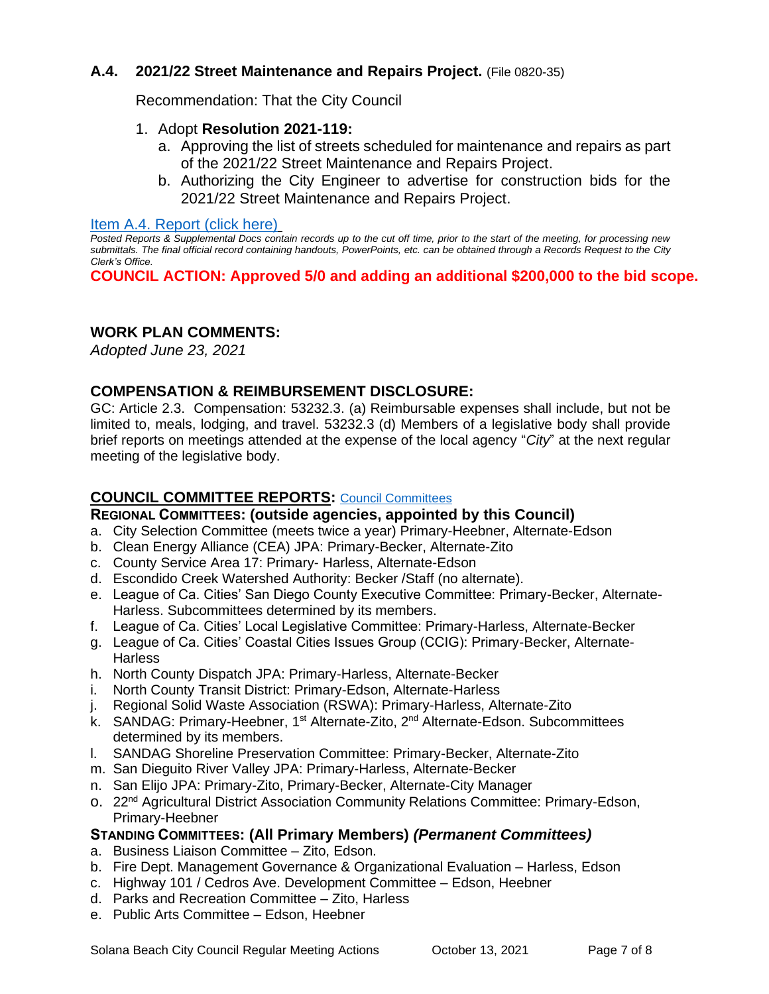## **A.4. 2021/22 Street Maintenance and Repairs Project.** (File 0820-35)

Recommendation: That the City Council

## 1. Adopt **Resolution 2021-119:**

- a. Approving the list of streets scheduled for maintenance and repairs as part of the 2021/22 Street Maintenance and Repairs Project.
- b. Authorizing the City Engineer to advertise for construction bids for the 2021/22 Street Maintenance and Repairs Project.

#### [Item A.4. Report \(click here\)](https://solanabeach.govoffice3.com/vertical/Sites/%7B840804C2-F869-4904-9AE3-720581350CE7%7D/uploads/Item_A.4._Report_(click_here)_-_10-13-21_O.pdf)

*Posted Reports & Supplemental Docs contain records up to the cut off time, prior to the start of the meeting, for processing new submittals. The final official record containing handouts, PowerPoints, etc. can be obtained through a Records Request to the City Clerk's Office.*

**COUNCIL ACTION: Approved 5/0 and adding an additional \$200,000 to the bid scope.** 

## **WORK PLAN COMMENTS:**

*Adopted June 23, 2021*

## **COMPENSATION & REIMBURSEMENT DISCLOSURE:**

GC: Article 2.3. Compensation: 53232.3. (a) Reimbursable expenses shall include, but not be limited to, meals, lodging, and travel. 53232.3 (d) Members of a legislative body shall provide brief reports on meetings attended at the expense of the local agency "*City*" at the next regular meeting of the legislative body.

## **COUNCIL COMMITTEE REPORTS:** [Council Committees](https://www.ci.solana-beach.ca.us/index.asp?SEC=584E1192-3850-46EA-B977-088AC3E81E0D&Type=B_BASIC)

### **REGIONAL COMMITTEES: (outside agencies, appointed by this Council)**

- a. City Selection Committee (meets twice a year) Primary-Heebner, Alternate-Edson
- b. Clean Energy Alliance (CEA) JPA: Primary-Becker, Alternate-Zito
- c. County Service Area 17: Primary- Harless, Alternate-Edson
- d. Escondido Creek Watershed Authority: Becker /Staff (no alternate).
- e. League of Ca. Cities' San Diego County Executive Committee: Primary-Becker, Alternate-Harless. Subcommittees determined by its members.
- f. League of Ca. Cities' Local Legislative Committee: Primary-Harless, Alternate-Becker
- g. League of Ca. Cities' Coastal Cities Issues Group (CCIG): Primary-Becker, Alternate-**Harless**
- h. North County Dispatch JPA: Primary-Harless, Alternate-Becker
- i. North County Transit District: Primary-Edson, Alternate-Harless
- j. Regional Solid Waste Association (RSWA): Primary-Harless, Alternate-Zito
- k. SANDAG: Primary-Heebner, 1<sup>st</sup> Alternate-Zito, 2<sup>nd</sup> Alternate-Edson. Subcommittees determined by its members.
- l. SANDAG Shoreline Preservation Committee: Primary-Becker, Alternate-Zito
- m. San Dieguito River Valley JPA: Primary-Harless, Alternate-Becker
- n. San Elijo JPA: Primary-Zito, Primary-Becker, Alternate-City Manager
- o. 22<sup>nd</sup> Agricultural District Association Community Relations Committee: Primary-Edson, Primary-Heebner

## **STANDING COMMITTEES: (All Primary Members)** *(Permanent Committees)*

- a. Business Liaison Committee Zito, Edson.
- b. Fire Dept. Management Governance & Organizational Evaluation Harless, Edson
- c. Highway 101 / Cedros Ave. Development Committee Edson, Heebner
- d. Parks and Recreation Committee Zito, Harless
- e. Public Arts Committee Edson, Heebner